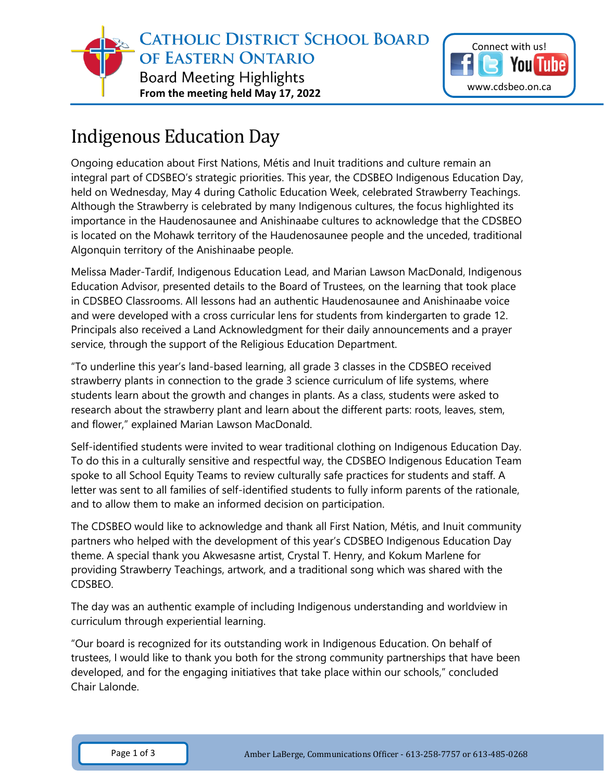



## Indigenous Education Day

Ongoing education about First Nations, Métis and Inuit traditions and culture remain an integral part of CDSBEO's strategic priorities. This year, the CDSBEO Indigenous Education Day, held on Wednesday, May 4 during Catholic Education Week, celebrated Strawberry Teachings. Although the Strawberry is celebrated by many Indigenous cultures, the focus highlighted its importance in the Haudenosaunee and Anishinaabe cultures to acknowledge that the CDSBEO is located on the Mohawk territory of the Haudenosaunee people and the unceded, traditional Algonquin territory of the Anishinaabe people.

Melissa Mader-Tardif, Indigenous Education Lead, and Marian Lawson MacDonald, Indigenous Education Advisor, presented details to the Board of Trustees, on the learning that took place in CDSBEO Classrooms. All lessons had an authentic Haudenosaunee and Anishinaabe voice and were developed with a cross curricular lens for students from kindergarten to grade 12. Principals also received a Land Acknowledgment for their daily announcements and a prayer service, through the support of the Religious Education Department.

"To underline this year's land-based learning, all grade 3 classes in the CDSBEO received strawberry plants in connection to the grade 3 science curriculum of life systems, where students learn about the growth and changes in plants. As a class, students were asked to research about the strawberry plant and learn about the different parts: roots, leaves, stem, and flower," explained Marian Lawson MacDonald.

Self-identified students were invited to wear traditional clothing on Indigenous Education Day. To do this in a culturally sensitive and respectful way, the CDSBEO Indigenous Education Team spoke to all School Equity Teams to review culturally safe practices for students and staff. A letter was sent to all families of self-identified students to fully inform parents of the rationale, and to allow them to make an informed decision on participation.

The CDSBEO would like to acknowledge and thank all First Nation, Métis, and Inuit community partners who helped with the development of this year's CDSBEO Indigenous Education Day theme. A special thank you Akwesasne artist, Crystal T. Henry, and Kokum Marlene for providing Strawberry Teachings, artwork, and a traditional song which was shared with the CDSBEO.

The day was an authentic example of including Indigenous understanding and worldview in curriculum through experiential learning.

"Our board is recognized for its outstanding work in Indigenous Education. On behalf of trustees, I would like to thank you both for the strong community partnerships that have been developed, and for the engaging initiatives that take place within our schools," concluded Chair Lalonde.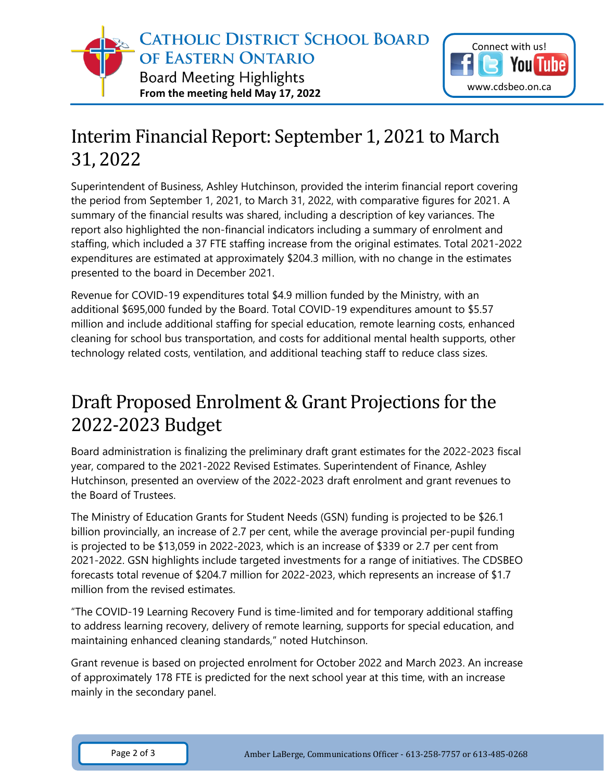

## Interim Financial Report: September 1, 2021 to March 31, 2022

Superintendent of Business, Ashley Hutchinson, provided the interim financial report covering the period from September 1, 2021, to March 31, 2022, with comparative figures for 2021. A summary of the financial results was shared, including a description of key variances. The report also highlighted the non-financial indicators including a summary of enrolment and staffing, which included a 37 FTE staffing increase from the original estimates. Total 2021-2022 expenditures are estimated at approximately \$204.3 million, with no change in the estimates presented to the board in December 2021.

Revenue for COVID-19 expenditures total \$4.9 million funded by the Ministry, with an additional \$695,000 funded by the Board. Total COVID-19 expenditures amount to \$5.57 million and include additional staffing for special education, remote learning costs, enhanced cleaning for school bus transportation, and costs for additional mental health supports, other technology related costs, ventilation, and additional teaching staff to reduce class sizes.

## Draft Proposed Enrolment & Grant Projections for the 2022-2023 Budget

Board administration is finalizing the preliminary draft grant estimates for the 2022-2023 fiscal year, compared to the 2021-2022 Revised Estimates. Superintendent of Finance, Ashley Hutchinson, presented an overview of the 2022-2023 draft enrolment and grant revenues to the Board of Trustees.

The Ministry of Education Grants for Student Needs (GSN) funding is projected to be \$26.1 billion provincially, an increase of 2.7 per cent, while the average provincial per-pupil funding is projected to be \$13,059 in 2022-2023, which is an increase of \$339 or 2.7 per cent from 2021-2022. GSN highlights include targeted investments for a range of initiatives. The CDSBEO forecasts total revenue of \$204.7 million for 2022-2023, which represents an increase of \$1.7 million from the revised estimates.

"The COVID-19 Learning Recovery Fund is time-limited and for temporary additional staffing to address learning recovery, delivery of remote learning, supports for special education, and maintaining enhanced cleaning standards," noted Hutchinson.

Grant revenue is based on projected enrolment for October 2022 and March 2023. An increase of approximately 178 FTE is predicted for the next school year at this time, with an increase mainly in the secondary panel.